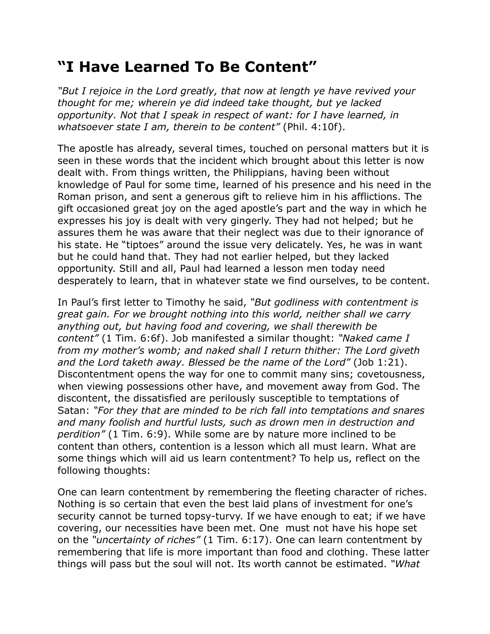## **"I Have Learned To Be Content"**

*"But I rejoice in the Lord greatly, that now at length ye have revived your thought for me; wherein ye did indeed take thought, but ye lacked opportunity. Not that I speak in respect of want: for I have learned, in whatsoever state I am, therein to be content"* (Phil. 4:10f).

The apostle has already, several times, touched on personal matters but it is seen in these words that the incident which brought about this letter is now dealt with. From things written, the Philippians, having been without knowledge of Paul for some time, learned of his presence and his need in the Roman prison, and sent a generous gift to relieve him in his afflictions. The gift occasioned great joy on the aged apostle's part and the way in which he expresses his joy is dealt with very gingerly. They had not helped; but he assures them he was aware that their neglect was due to their ignorance of his state. He "tiptoes" around the issue very delicately. Yes, he was in want but he could hand that. They had not earlier helped, but they lacked opportunity. Still and all, Paul had learned a lesson men today need desperately to learn, that in whatever state we find ourselves, to be content.

In Paul's first letter to Timothy he said, *"But godliness with contentment is great gain. For we brought nothing into this world, neither shall we carry anything out, but having food and covering, we shall therewith be content"* (1 Tim. 6:6f). Job manifested a similar thought: *"Naked came I from my mother's womb; and naked shall I return thither: The Lord giveth and the Lord taketh away. Blessed be the name of the Lord"* (Job 1:21). Discontentment opens the way for one to commit many sins; covetousness, when viewing possessions other have, and movement away from God. The discontent, the dissatisfied are perilously susceptible to temptations of Satan: *"For they that are minded to be rich fall into temptations and snares and many foolish and hurtful lusts, such as drown men in destruction and perdition"* (1 Tim. 6:9). While some are by nature more inclined to be content than others, contention is a lesson which all must learn. What are some things which will aid us learn contentment? To help us, reflect on the following thoughts:

One can learn contentment by remembering the fleeting character of riches. Nothing is so certain that even the best laid plans of investment for one's security cannot be turned topsy-turvy. If we have enough to eat; if we have covering, our necessities have been met. One must not have his hope set on the *"uncertainty of riches"* (1 Tim. 6:17). One can learn contentment by remembering that life is more important than food and clothing. These latter things will pass but the soul will not. Its worth cannot be estimated. *"What*